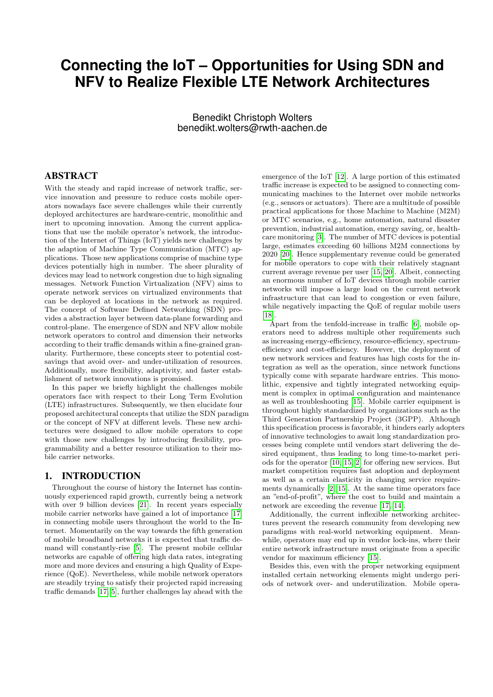# **Connecting the IoT – Opportunities for Using SDN and NFV to Realize Flexible LTE Network Architectures**

Benedikt Christoph Wolters benedikt.wolters@rwth-aachen.de

# ABSTRACT

With the steady and rapid increase of network traffic, service innovation and pressure to reduce costs mobile operators nowadays face severe challenges while their currently deployed architectures are hardware-centric, monolithic and inert to upcoming innovation. Among the current applications that use the mobile operator's network, the introduction of the Internet of Things (IoT) yields new challenges by the adaption of Machine Type Communication (MTC) applications. Those new applications comprise of machine type devices potentially high in number. The sheer plurality of devices may lead to network congestion due to high signaling messages. Network Function Virtualization (NFV) aims to operate network services on virtualized environments that can be deployed at locations in the network as required. The concept of Software Defined Networking (SDN) provides a abstraction layer between data-plane forwarding and control-plane. The emergence of SDN and NFV allow mobile network operators to control and dimension their networks according to their traffic demands within a fine-grained granularity. Furthermore, these concepts steer to potential costsavings that avoid over- and under-utilization of resources. Additionally, more flexibility, adaptivity, and faster establishment of network innovations is promised.

In this paper we briefly highlight the challenges mobile operators face with respect to their Long Term Evolution (LTE) infrastructures. Subsequently, we then elucidate four proposed architectural concepts that utilize the SDN paradigm or the concept of NFV at different levels. These new architectures were designed to allow mobile operators to cope with those new challenges by introducing flexibility, programmability and a better resource utilization to their mobile carrier networks.

## <span id="page-0-0"></span>1. INTRODUCTION

Throughout the course of history the Internet has continuously experienced rapid growth, currently being a network with over 9 billion devices [\[21\]](#page-9-0). In recent years especially mobile carrier networks have gained a lot of importance [\[17\]](#page-9-1) in connecting mobile users throughout the world to the Internet. Momentarily on the way towards the fifth generation of mobile broadband networks it is expected that traffic demand will constantly-rise [\[5\]](#page-9-2). The present mobile cellular networks are capable of offering high data rates, integrating more and more devices and ensuring a high Quality of Experience (QoE). Nevertheless, while mobile network operators are steadily trying to satisfy their projected rapid increasing traffic demands [\[17,](#page-9-1) [5\]](#page-9-2), further challenges lay ahead with the

emergence of the IoT [\[12\]](#page-9-3). A large portion of this estimated traffic increase is expected to be assigned to connecting communicating machines to the Internet over mobile networks (e.g., sensors or actuators). There are a multitude of possible practical applications for those Machine to Machine (M2M) or MTC scenarios, e.g., home automation, natural disaster prevention, industrial automation, energy saving, or, healthcare monitoring [\[3\]](#page-9-4). The number of MTC devices is potential large, estimates exceeding 60 billions M2M connections by 2020 [\[20\]](#page-9-5). Hence supplementary revenue could be generated for mobile operators to cope with their relatively stagnant current average revenue per user [\[15,](#page-9-6) [20\]](#page-9-5). Albeit, connecting an enormous number of IoT devices through mobile carrier networks will impose a large load on the current network infrastructure that can lead to congestion or even failure, while negatively impacting the QoE of regular mobile users [\[18\]](#page-9-7).

Apart from the tenfold-increase in traffic [\[6\]](#page-9-8), mobile operators need to address multiple other requirements such as increasing energy-efficiency, resource-efficiency, spectrumefficiency and cost-efficiency. However, the deployment of new network services and features has high costs for the integration as well as the operation, since network functions typically come with separate hardware entries. This monolithic, expensive and tightly integrated networking equipment is complex in optimal configuration and maintenance as well as troubleshooting [\[15\]](#page-9-6). Mobile carrier equipment is throughout highly standardized by organizations such as the Third Generation Partnership Project (3GPP). Although this specification process is favorable, it hinders early adopters of innovative technologies to await long standardization processes being complete until vendors start delivering the desired equipment, thus leading to long time-to-market periods for the operator [\[10,](#page-9-9) [15,](#page-9-6) [2\]](#page-9-10) for offering new services. But market competition requires fast adoption and deployment as well as a certain elasticity in changing service requirements dynamically [\[2,](#page-9-10) [15\]](#page-9-6). At the same time operators face an "end-of-profit", where the cost to build and maintain a network are exceeding the revenue [\[17,](#page-9-1) [14\]](#page-9-11).

Additionally, the current inflexible networking architectures prevent the research community from developing new paradigms with real-world networking equipment. Meanwhile, operators may end up in vendor lock-ins, where their entire network infrastructure must originate from a specific vendor for maximum efficiency [\[15\]](#page-9-6).

Besides this, even with the proper networking equipment installed certain networking elements might undergo periods of network over- and underutilization. Mobile opera-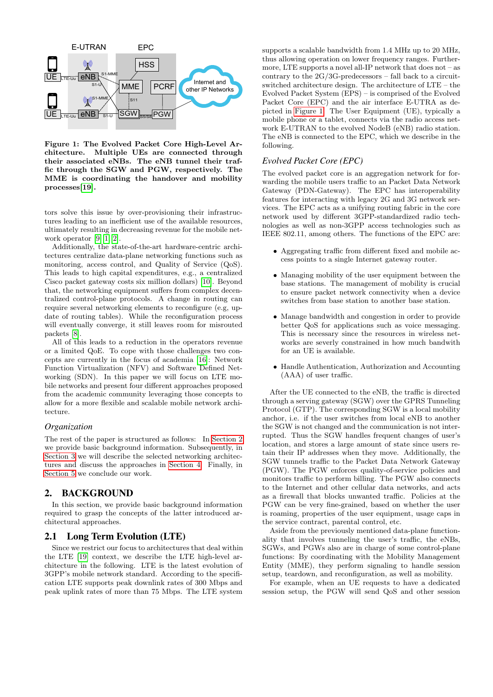

<span id="page-1-1"></span>Figure 1: The Evolved Packet Core High-Level Architecture. Multiple UEs are connected through their associated eNBs. The eNB tunnel their traffic through the SGW and PGW, respectively. The MME is coordinating the handover and mobility processes[\[19\]](#page-9-12).

tors solve this issue by over-provisioning their infrastructures leading to an inefficient use of the available resources, ultimately resulting in decreasing revenue for the mobile network operator [\[9,](#page-9-13) [1,](#page-9-14) [2\]](#page-9-10).

Additionally, the state-of-the-art hardware-centric architectures centralize data-plane networking functions such as monitoring, access control, and Quality of Service (QoS). This leads to high capital expenditures, e.g., a centralized Cisco packet gateway costs six million dollars) [\[10\]](#page-9-9). Beyond that, the networking equipment suffers from complex decentralized control-plane protocols. A change in routing can require several networking elements to reconfigure (e.g, update of routing tables). While the reconfiguration process will eventually converge, it still leaves room for misrouted packets [\[8\]](#page-9-15).

All of this leads to a reduction in the operators revenue or a limited QoE. To cope with those challenges two concepts are currently in the focus of academia [\[16\]](#page-9-16): Network Function Virtualization (NFV) and Software Defined Networking (SDN). In this paper we will focus on LTE mobile networks and present four different approaches proposed from the academic community leveraging those concepts to allow for a more flexible and scalable mobile network architecture.

## *Organization*

The rest of the paper is structured as follows: In [Section 2](#page-1-0) we provide basic background information. Subsequently, in [Section 3](#page-3-0) we will describe the selected networking architectures and discuss the approaches in [Section 4.](#page-8-0) Finally, in [Section 5](#page-9-17) we conclude our work.

# <span id="page-1-0"></span>2. BACKGROUND

In this section, we provide basic background information required to grasp the concepts of the latter introduced architectural approaches.

# 2.1 Long Term Evolution (LTE)

Since we restrict our focus to architectures that deal within the LTE [\[19\]](#page-9-12) context, we describe the LTE high-level architecture in the following. LTE is the latest evolution of 3GPP's mobile network standard. According to the specification LTE supports peak downlink rates of 300 Mbps and peak uplink rates of more than 75 Mbps. The LTE system

supports a scalable bandwidth from 1.4 MHz up to 20 MHz, thus allowing operation on lower frequency ranges. Furthermore, LTE supports a novel all-IP network that does not – as contrary to the 2G/3G-predecessors – fall back to a circuitswitched architecture design. The architecture of LTE – the Evolved Packet System (EPS) – is comprised of the Evolved Packet Core (EPC) and the air interface E-UTRA as depicted in [Figure 1.](#page-1-1) The User Equipment (UE), typically a mobile phone or a tablet, connects via the radio access network E-UTRAN to the evolved NodeB (eNB) radio station. The eNB is connected to the EPC, which we describe in the following.

# *Evolved Packet Core (EPC)*

The evolved packet core is an aggregation network for forwarding the mobile users traffic to an Packet Data Network Gateway (PDN-Gateway). The EPC has interoperability features for interacting with legacy 2G and 3G network services. The EPC acts as a unifying routing fabric in the core network used by different 3GPP-standardized radio technologies as well as non-3GPP access technologies such as IEEE 802.11, among others. The functions of the EPC are:

- Aggregating traffic from different fixed and mobile access points to a single Internet gateway router.
- Managing mobility of the user equipment between the base stations. The management of mobility is crucial to ensure packet network connectivity when a device switches from base station to another base station.
- Manage bandwidth and congestion in order to provide better QoS for applications such as voice messaging. This is necessary since the resources in wireless networks are severly constrained in how much bandwith for an UE is available.
- Handle Authentication, Authorization and Accounting (AAA) of user traffic.

After the UE connected to the eNB, the traffic is directed through a serving gateway (SGW) over the GPRS Tunneling Protocol (GTP). The corresponding SGW is a local mobility anchor, i.e. if the user switches from local eNB to another the SGW is not changed and the communication is not interrupted. Thus the SGW handles frequent changes of user's location, and stores a large amount of state since users retain their IP addresses when they move. Additionally, the SGW tunnels traffic to the Packet Data Network Gateway (PGW). The PGW enforces quality-of-service policies and monitors traffic to perform billing. The PGW also connects to the Internet and other cellular data networks, and acts as a firewall that blocks unwanted traffic. Policies at the PGW can be very fine-grained, based on whether the user is roaming, properties of the user equipment, usage caps in the service contract, parental control, etc.

Aside from the previously mentioned data-plane functionality that involves tunneling the user's traffic, the eNBs, SGWs, and PGWs also are in charge of some control-plane functions: By coordinating with the Mobility Management Entity (MME), they perform signaling to handle session setup, teardown, and reconfiguration, as well as mobility.

For example, when an UE requests to have a dedicated session setup, the PGW will send QoS and other session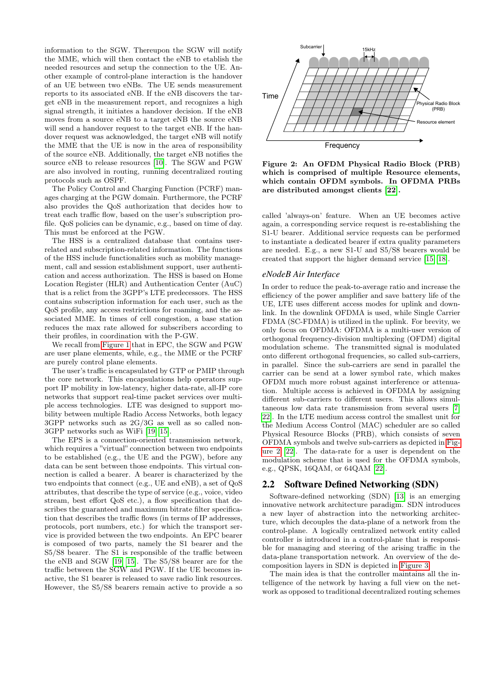information to the SGW. Thereupon the SGW will notify the MME, which will then contact the eNB to etablish the needed resources and setup the connection to the UE. Another example of control-plane interaction is the handover of an UE between two eNBs. The UE sends measurement reports to its associated eNB. If the eNB discovers the target eNB in the measurement report, and recognizes a high signal strength, it initiates a handover decision. If the eNB moves from a source eNB to a target eNB the source eNB will send a handover request to the target eNB. If the handover request was acknowledged, the target eNB will notify the MME that the UE is now in the area of responsibility of the source eNB. Additionally, the target eNB notifies the source eNB to release resources [\[10\]](#page-9-9). The SGW and PGW are also involved in routing, running decentralized routing protocols such as OSPF.

The Policy Control and Charging Function (PCRF) manages charging at the PGW domain. Furthermore, the PCRF also provides the QoS authorization that decides how to treat each traffic flow, based on the user's subscription profile. QoS policies can be dynamic, e.g., based on time of day. This must be enforced at the PGW.

The HSS is a centralized database that contains userrelated and subscription-related information. The functions of the HSS include functionalities such as mobility management, call and session establishment support, user authentication and access authorization. The HSS is based on Home Location Register (HLR) and Authentication Center (AuC) that is a relict from the 3GPP's LTE predecessors. The HSS contains subscription information for each user, such as the QoS profile, any access restrictions for roaming, and the associated MME. In times of cell congestion, a base station reduces the max rate allowed for subscribers according to their profiles, in coordination with the P-GW.

We recall from [Figure 1](#page-1-1) that in EPC, the SGW and PGW are user plane elements, while, e.g., the MME or the PCRF are purely control plane elements.

The user's traffic is encapsulated by GTP or PMIP through the core network. This encapsulations help operators support IP mobility in low-latency, higher data-rate, all-IP core networks that support real-time packet services over multiple access technologies. LTE was designed to support mobility between multiple Radio Access Networks, both legacy 3GPP networks such as 2G/3G as well as so called non-3GPP networks such as WiFi [\[19,](#page-9-12) [15\]](#page-9-6).

The EPS is a connection-oriented transmission network, which requires a "virtual" connection between two endpoints to be established (e.g., the UE and the PGW), before any data can be sent between those endpoints. This virtual connection is called a bearer. A bearer is characterized by the two endpoints that connect (e.g., UE and eNB), a set of QoS attributes, that describe the type of service (e.g., voice, video stream, best effort QoS etc.), a flow specification that describes the guaranteed and maximum bitrate filter specification that describes the traffic flows (in terms of IP addresses, protocols, port numbers, etc.) for which the transport service is provided between the two endpoints. An EPC bearer is composed of two parts, namely the S1 bearer and the S5/S8 bearer. The S1 is responsible of the traffic between the eNB and SGW [\[19,](#page-9-12) [15\]](#page-9-6). The S5/S8 bearer are for the traffic between the SGW and PGW. If the UE becomes inactive, the S1 bearer is released to save radio link resources. However, the S5/S8 bearers remain active to provide a so



<span id="page-2-0"></span>Figure 2: An OFDM Physical Radio Block (PRB) which is comprised of multiple Resource elements, which contain OFDM symbols. In OFDMA PRBs are distributed amongst clients [\[22\]](#page-9-18).

called 'always-on' feature. When an UE becomes active again, a corresponding service request is re-establishing the S1-U bearer. Additional service requests can be performed to instantiate a dedicated bearer if extra quality parameters are needed. E.g., a new S1-U and S5/S8 bearers would be created that support the higher demand service [\[15,](#page-9-6) [18\]](#page-9-7).

## <span id="page-2-2"></span>*eNodeB Air Interface*

In order to reduce the peak-to-average ratio and increase the efficiency of the power amplifier and save battery life of the UE, LTE uses different access modes for uplink and downlink. In the downlink OFDMA is used, while Single Carrier FDMA (SC-FDMA) is utilized in the uplink. For brevity, we only focus on OFDMA: OFDMA is a multi-user version of orthogonal frequency-division multiplexing (OFDM) digital modulation scheme. The transmitted signal is modulated onto different orthogonal frequencies, so called sub-carriers, in parallel. Since the sub-carriers are send in parallel the carrier can be send at a lower symbol rate, which makes OFDM much more robust against interference or attenuation. Multiple access is achieved in OFDMA by assigning different sub-carriers to different users. This allows simultaneous low data rate transmission from several users [\[7,](#page-9-19) [22\]](#page-9-18). In the LTE medium access control the smallest unit for the Medium Access Control (MAC) scheduler are so called Physical Resource Blocks (PRB), which consists of seven OFDMA symbols and twelve sub-carriers as depicted in [Fig](#page-2-0)[ure 2](#page-2-0) [\[22\]](#page-9-18). The data-rate for a user is dependent on the modulation scheme that is used for the OFDMA symbols, e.g., QPSK, 16QAM, or 64QAM [\[22\]](#page-9-18).

## <span id="page-2-1"></span>2.2 Software Defined Networking (SDN)

Software-defined networking (SDN) [\[13\]](#page-9-20) is an emerging innovative network architecture paradigm. SDN introduces a new layer of abstraction into the networking architecture, which decouples the data-plane of a network from the control-plane. A logically centralized network entity called controller is introduced in a control-plane that is responsible for managing and steering of the arising traffic in the data-plane transportation network. An overview of the decomposition layers in SDN is depicted in [Figure 3.](#page-3-1)

The main idea is that the controller maintains all the intelligence of the network by having a full view on the network as opposed to traditional decentralized routing schemes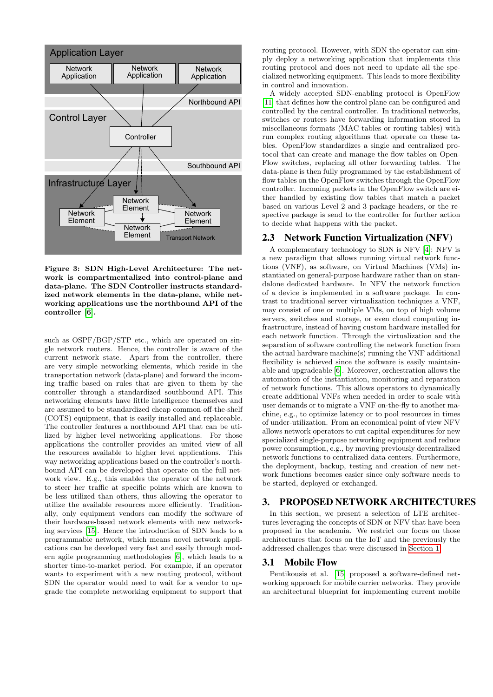

<span id="page-3-1"></span>Figure 3: SDN High-Level Architecture: The network is compartmentalized into control-plane and data-plane. The SDN Controller instructs standardized network elements in the data-plane, while networking applications use the northbound API of the controller [\[6\]](#page-9-8).

such as  $OSPF/BGP/STP$  etc., which are operated on single network routers. Hence, the controller is aware of the current network state. Apart from the controller, there are very simple networking elements, which reside in the transportation network (data-plane) and forward the incoming traffic based on rules that are given to them by the controller through a standardized southbound API. This networking elements have little intelligence themselves and are assumed to be standardized cheap common-off-the-shelf (COTS) equipment, that is easily installed and replaceable. The controller features a northbound API that can be utilized by higher level networking applications. For those applications the controller provides an united view of all the resources available to higher level applications. This way networking applications based on the controller's northbound API can be developed that operate on the full network view. E.g., this enables the operator of the network to steer her traffic at specific points which are known to be less utilized than others, thus allowing the operator to utilize the available resources more efficiently. Traditionally, only equipment vendors can modify the software of their hardware-based network elements with new networking services [\[15\]](#page-9-6). Hence the introduction of SDN leads to a programmable network, which means novel network applications can be developed very fast and easily through modern agile programming methodologies [\[6\]](#page-9-8), which leads to a shorter time-to-market period. For example, if an operator wants to experiment with a new routing protocol, without SDN the operator would need to wait for a vendor to upgrade the complete networking equipment to support that

routing protocol. However, with SDN the operator can simply deploy a networking application that implements this routing protocol and does not need to update all the specialized networking equipment. This leads to more flexibility in control and innovation.

A widely accepted SDN-enabling protocol is OpenFlow [\[11\]](#page-9-21) that defines how the control plane can be configured and controlled by the central controller. In traditional networks, switches or routers have forwarding information stored in miscellaneous formats (MAC tables or routing tables) with run complex routing algorithms that operate on these tables. OpenFlow standardizes a single and centralized protocol that can create and manage the flow tables on Open-Flow switches, replacing all other forwarding tables. The data-plane is then fully programmed by the establishment of flow tables on the OpenFlow switches through the OpenFlow controller. Incoming packets in the OpenFlow switch are either handled by existing flow tables that match a packet based on various Level 2 and 3 package headers, or the respective package is send to the controller for further action to decide what happens with the packet.

## 2.3 Network Function Virtualization (NFV)

A complementary technology to SDN is NFV [\[4\]](#page-9-22): NFV is a new paradigm that allows running virtual network functions (VNF), as software, on Virtual Machines (VMs) instantiated on general-purpose hardware rather than on standalone dedicated hardware. In NFV the network function of a device is implemented in a software package. In contrast to traditional server virtualization techniques a VNF, may consist of one or multiple VMs, on top of high volume servers, switches and storage, or even cloud computing infrastructure, instead of having custom hardware installed for each network function. Through the virtualization and the separation of software controlling the network function from the actual hardware machine(s) running the VNF additional flexibility is achieved since the software is easily maintainable and upgradeable [\[6\]](#page-9-8). Moreover, orchestration allows the automation of the instantiation, monitoring and reparation of network functions. This allows operators to dynamically create additional VNFs when needed in order to scale with user demands or to migrate a VNF on-the-fly to another machine, e.g., to optimize latency or to pool resources in times of under-utilization. From an economical point of view NFV allows network operators to cut capital expenditures for new specialized single-purpose networking equipment and reduce power consumption, e.g., by moving previously decentralized network functions to centralized data centers. Furthermore, the deployment, backup, testing and creation of new network functions becomes easier since only software needs to be started, deployed or exchanged.

# <span id="page-3-0"></span>3. PROPOSED NETWORK ARCHITECTURES

In this section, we present a selection of LTE architectures leveraging the concepts of SDN or NFV that have been proposed in the academia. We restrict our focus on those architectures that focus on the IoT and the previously the addressed challenges that were discussed in [Section 1.](#page-0-0)

#### <span id="page-3-2"></span>3.1 Mobile Flow

Pentikousis et al. [\[15\]](#page-9-6) proposed a software-defined networking approach for mobile carrier networks. They provide an architectural blueprint for implementing current mobile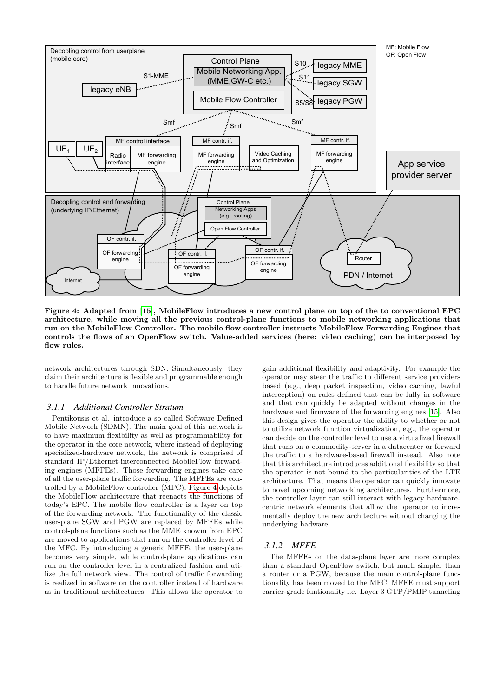

<span id="page-4-0"></span>Figure 4: Adapted from [\[15\]](#page-9-6), MobileFlow introduces a new control plane on top of the to conventional EPC architecture, while moving all the previous control-plane functions to mobile networking applications that run on the MobileFlow Controller. The mobile flow controller instructs MobileFlow Forwarding Engines that controls the flows of an OpenFlow switch. Value-added services (here: video caching) can be interposed by flow rules.

network architectures through SDN. Simultaneously, they claim their architecture is flexible and programmable enough to handle future network innovations.

### *3.1.1 Additional Controller Stratum*

Pentikousis et al. introduce a so called Software Defined Mobile Network (SDMN). The main goal of this network is to have maximum flexibility as well as programmability for the operator in the core network, where instead of deploying specialized-hardware network, the network is comprised of standard IP/Ethernet-interconnected MobileFlow forwarding engines (MFFEs). Those forwarding engines take care of all the user-plane traffic forwarding. The MFFEs are controlled by a MobileFlow controller (MFC). [Figure 4](#page-4-0) depicts the MobileFlow architecture that reenacts the functions of today's EPC. The mobile flow controller is a layer on top of the forwarding network. The functionality of the classic user-plane SGW and PGW are replaced by MFFEs while control-plane functions such as the MME knowm from EPC are moved to applications that run on the controller level of the MFC. By introducing a generic MFFE, the user-plane becomes very simple, while control-plane applications can run on the controller level in a centralized fashion and utilize the full network view. The control of traffic forwarding is realized in software on the controller instead of hardware as in traditional architectures. This allows the operator to

gain additional flexibility and adaptivity. For example the operator may steer the traffic to different service providers based (e.g., deep packet inspection, video caching, lawful interception) on rules defined that can be fully in software and that can quickly be adapted without changes in the hardware and firmware of the forwarding engines [\[15\]](#page-9-6). Also this design gives the operator the ability to whether or not to utilize network function virtualization, e.g., the operator can decide on the controller level to use a virtualized firewall that runs on a commodity-server in a datacenter or forward the traffic to a hardware-based firewall instead. Also note that this architecture introduces additional flexibility so that the operator is not bound to the particularities of the LTE architecture. That means the operator can quickly innovate to novel upcoming networking architectures. Furthermore, the controller layer can still interact with legacy hardwarecentric network elements that allow the operator to incrementally deploy the new architecture without changing the underlying hadware

#### *3.1.2 MFFE*

The MFFEs on the data-plane layer are more complex than a standard OpenFlow switch, but much simpler than a router or a PGW, because the main control-plane functionality has been moved to the MFC. MFFE must support carrier-grade funtionality i.e. Layer 3 GTP/PMIP tunneling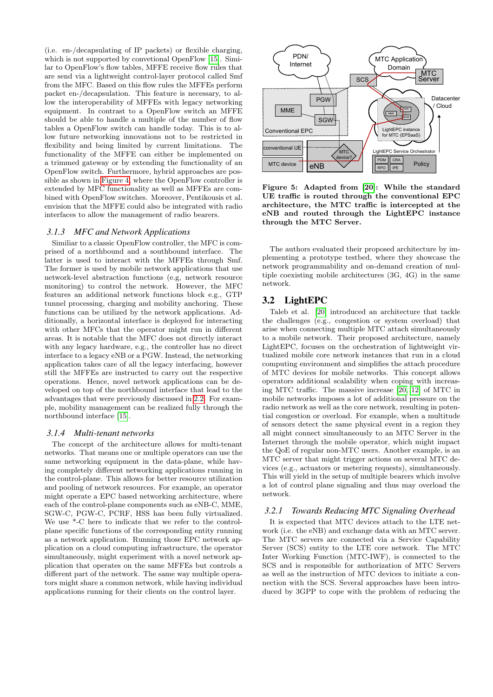(i.e. en-/decapsulating of IP packets) or flexible charging, which is not supported by convetional OpenFlow [\[15\]](#page-9-6). Similar to OpenFlow's flow tables, MFFE receive flow rules that are send via a lightweight control-layer protocol called Smf from the MFC. Based on this flow rules the MFFEs perform packet en-/decapsulation. This feature is necessary, to allow the interoperability of MFFEs with legacy networking equipment. In contrast to a OpenFlow switch an MFFE should be able to handle a multiple of the number of flow tables a OpenFlow switch can handle today. This is to allow future networking innovations not to be restricted in flexibility and being limited by current limitations. The functionality of the MFFE can either be implemented on a trimmed gateway or by extending the functionality of an OpenFlow switch. Furthermore, hybrid approaches are possible as shown in [Figure 4,](#page-4-0) where the OpenFlow controller is extended by MFC functionality as well as MFFEs are combined with OpenFlow switches. Moreover, Pentikousis et al. envision that the MFFE could also be integrated with radio interfaces to allow the management of radio bearers.

#### *3.1.3 MFC and Network Applications*

Similiar to a classic OpenFlow controller, the MFC is comprised of a northbound and a southbound interface. The latter is used to interact with the MFFEs through Smf. The former is used by mobile network applications that use network-level abstraction functions (e.g, network resource monitoring) to control the network. However, the MFC features an additional network functions block e.g., GTP tunnel processing, charging and mobility anchoring. These functions can be utilized by the network applications. Additionally, a horizontal interface is deployed for interacting with other MFCs that the operator might run in different areas. It is notable that the MFC does not directly interact with any legacy hardware, e.g., the controller has no direct interface to a legacy eNB or a PGW. Instead, the networking application takes care of all the legacy interfacing, however still the MFFEs are instructed to carry out the respective operations. Hence, novel network applications can be developed on top of the northbound interface that lead to the advantages that were previously discussed in [2.2.](#page-2-1) For example, mobility management can be realized fully through the northbound interface [\[15\]](#page-9-6).

#### *3.1.4 Multi-tenant networks*

The concept of the architecture allows for multi-tenant networks. That means one or multiple operators can use the same networking equipment in the data-plane, while having completely different networking applications running in the control-plane. This allows for better resource utilization and pooling of network resources. For example, an operator might operate a EPC based networking architecture, where each of the control-plane components such as eNB-C, MME SGW-C, PGW-C, PCRF, HSS has been fully virtualized. We use \*-C here to indicate that we refer to the controlplane specific functions of the corresponding entity running as a network application. Running those EPC network application on a cloud computing infrastructure, the operator simultaneously, might experiment with a novel network application that operates on the same MFFEs but controls a different part of the network. The same way multiple operators might share a common network, while having individual applications running for their clients on the control layer.



<span id="page-5-0"></span>Figure 5: Adapted from [\[20\]](#page-9-5): While the standard UE traffic is routed through the conventional EPC architecture, the MTC traffic is intercepted at the eNB and routed through the LightEPC instance through the MTC Server.

The authors evaluated their proposed architecture by implementing a prototype testbed, where they showcase the network programmability and on-demand creation of multiple coexisting mobile architectures (3G, 4G) in the same network.

## <span id="page-5-1"></span>3.2 LightEPC

Taleb et al. [\[20\]](#page-9-5) introduced an architecture that tackle the challenges (e.g., congestion or system overload) that arise when connecting multiple MTC attach simultaneously to a mobile network. Their proposed architecture, namely LightEPC, focuses on the orchestration of lightweight virtualized mobile core network instances that run in a cloud computing environment and simplifies the attach procedure of MTC devices for mobile networks. This concept allows operators additional scalability when coping with increasing MTC traffic. The massive increase [\[20,](#page-9-5) [12\]](#page-9-3) of MTC in mobile networks imposes a lot of additional pressure on the radio network as well as the core network, resulting in potential congestion or overload. For example, when a multitude of sensors detect the same physical event in a region they all might connect simultaneously to an MTC Server in the Internet through the mobile operator, which might impact the QoE of regular non-MTC users. Another example, is an MTC server that might trigger actions on several MTC devices (e.g., actuators or metering requests), simultaneously. This will yield in the setup of multiple bearers which involve a lot of control plane signaling and thus may overload the network.

# *3.2.1 Towards Reducing MTC Signaling Overhead*

It is expected that MTC devices attach to the LTE network (i.e. the eNB) and exchange data with an MTC server. The MTC servers are connected via a Service Capability Server (SCS) entity to the LTE core network. The MTC Inter Working Function (MTC-IWF), is connected to the SCS and is responsible for authorization of MTC Servers as well as the instruction of MTC devices to initiate a connection with the SCS. Several approaches have been introduced by 3GPP to cope with the problem of reducing the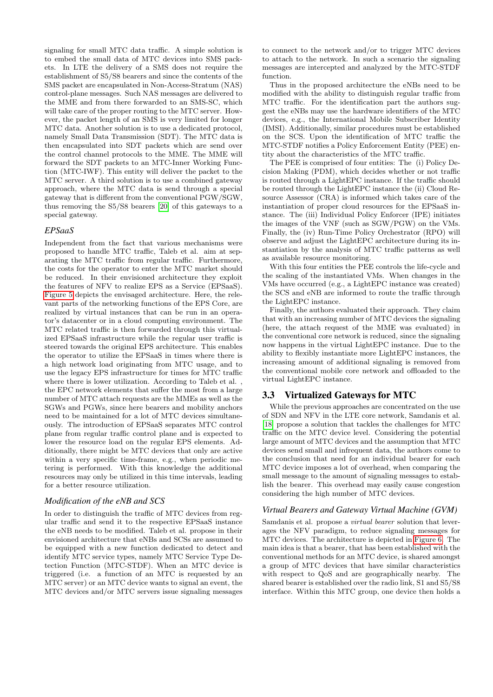signaling for small MTC data traffic. A simple solution is to embed the small data of MTC devices into SMS packets. In LTE the delivery of a SMS does not require the establishment of S5/S8 bearers and since the contents of the SMS packet are encapsulated in Non-Access-Stratum (NAS) control-plane messages. Such NAS messages are delivered to the MME and from there forwarded to an SMS-SC, which will take care of the proper routing to the MTC server. However, the packet length of an SMS is very limited for longer MTC data. Another solution is to use a dedicated protocol, namely Small Data Transmission (SDT). The MTC data is then encapsulated into SDT packets which are send over the control channel protocols to the MME. The MME will forward the SDT packets to an MTC-Inner Working Function (MTC-IWF). This entity will deliver the packet to the MTC server. A third solution is to use a combined gateway approach, where the MTC data is send through a special gateway that is different from the conventional PGW/SGW, thus removing the S5/S8 bearers [\[20\]](#page-9-5) of this gateways to a special gateway.

## *EPSaaS*

Independent from the fact that various mechanisms were proposed to handle MTC traffic, Taleb et al. aim at separating the MTC traffic from regular traffic. Furthermore, the costs for the operator to enter the MTC market should be reduced. In their envisioned architecture they exploit the features of NFV to realize EPS as a Service (EPSaaS). [Figure 5](#page-5-0) depicts the envisaged architecture. Here, the relevant parts of the networking functions of the EPS Core, are realized by virtual instances that can be run in an operator's datacenter or in a cloud computing environment. The MTC related traffic is then forwarded through this virtualized EPSaaS infrastructure while the regular user traffic is steered towards the original EPS architecture. This enables the operator to utilize the EPSaaS in times where there is a high network load originating from MTC usage, and to use the legacy EPS infrastructure for times for MTC traffic where there is lower utilization. According to Taleb et al. , the EPC network elements that suffer the most from a large number of MTC attach requests are the MMEs as well as the SGWs and PGWs, since here bearers and mobility anchors need to be maintained for a lot of MTC devices simultaneously. The introduction of EPSaaS separates MTC control plane from regular traffic control plane and is expected to lower the resource load on the regular EPS elements. Additionally, there might be MTC devices that only are active within a very specific time-frame, e.g., when periodic metering is performed. With this knowledge the additional resources may only be utilized in this time intervals, leading for a better resource utilization.

## *Modification of the eNB and SCS*

In order to distinguish the traffic of MTC devices from regular traffic and send it to the respective EPSaaS instance the eNB needs to be modified. Taleb et al. propose in their envisioned architecture that eNBs and SCSs are assumed to be equipped with a new function dedicated to detect and identify MTC service types, namely MTC Service Type Detection Function (MTC-STDF). When an MTC device is triggered (i.e. a function of an MTC is requested by an MTC server) or an MTC device wants to signal an event, the MTC devices and/or MTC servers issue signaling messages

to connect to the network and/or to trigger MTC devices to attach to the network. In such a scenario the signaling messages are intercepted and analyzed by the MTC-STDF function.

Thus in the proposed architecture the eNBs need to be modified with the ability to distinguish regular traffic from MTC traffic. For the identification part the authors suggest the eNBs may use the hardware identifiers of the MTC devices, e.g., the International Mobile Subscriber Identity (IMSI). Additionally, similar procedures must be established on the SCS. Upon the identification of MTC traffic the MTC-STDF notifies a Policy Enforcement Entity (PEE) entity about the characteristics of the MTC traffic.

The PEE is comprised of four entities: The (i) Policy Decision Making (PDM), which decides whether or not traffic is routed through a LightEPC instance. If the traffic should be routed through the LightEPC instance the (ii) Cloud Resource Assessor (CRA) is informed which takes care of the instantiation of proper cloud resources for the EPSaaS instance. The (iii) Individual Policy Enforcer (IPE) initiates the images of the VNF (such as SGW/PGW) on the VMs. Finally, the (iv) Run-Time Policy Orchestrator (RPO) will observe and adjust the LightEPC architecture during its instantiation by the analysis of MTC traffic patterns as well as available resource monitoring.

With this four entities the PEE controls the life-cycle and the scaling of the instantiated VMs. When changes in the VMs have occurred (e.g., a LightEPC instance was created) the SCS and eNB are informed to route the traffic through the LightEPC instance.

Finally, the authors evaluated their approach. They claim that with an increasing number of MTC devices the signaling (here, the attach request of the MME was evaluated) in the conventional core network is reduced, since the signaling now happens in the virtual LightEPC instance. Due to the ability to flexibly instantiate more LightEPC instances, the increasing amount of additional signaling is removed from the conventional mobile core network and offloaded to the virtual LightEPC instance.

# <span id="page-6-0"></span>3.3 Virtualized Gateways for MTC

While the previous approaches are concentrated on the use of SDN and NFV in the LTE core network, Samdanis et al. [\[18\]](#page-9-7) propose a solution that tackles the challenges for MTC traffic on the MTC device level. Considering the potential large amount of MTC devices and the assumption that MTC devices send small and infrequent data, the authors come to the conclusion that need for an individual bearer for each MTC device imposes a lot of overhead, when comparing the small message to the amount of signaling messages to establish the bearer. This overhead may easily cause congestion considering the high number of MTC devices.

# *Virtual Bearers and Gateway Virtual Machine (GVM)*

Samdanis et al. propose a *virtual bearer* solution that leverages the NFV paradigm, to reduce signaling messages for MTC devices. The architecture is depicted in [Figure 6.](#page-7-0) The main idea is that a bearer, that has been established with the conventional methods for an MTC device, is shared amongst a group of MTC devices that have similar characteristics with respect to QoS and are geographically nearby. The shared bearer is established over the radio link, S1 and S5/S8 interface. Within this MTC group, one device then holds a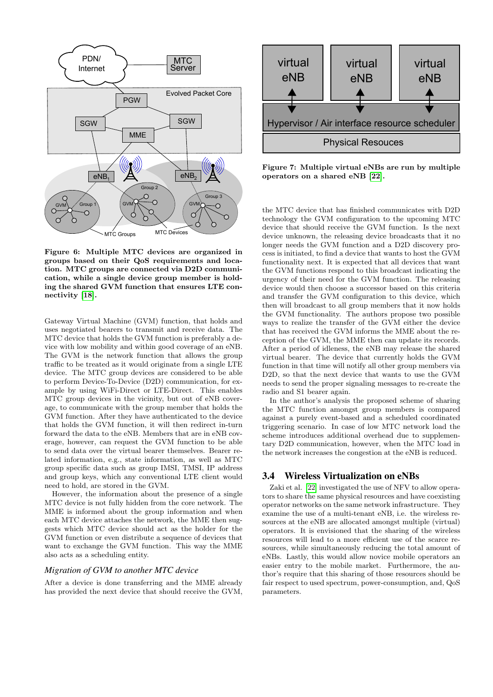

<span id="page-7-0"></span>Figure 6: Multiple MTC devices are organized in groups based on their QoS requirements and location. MTC groups are connected via D2D communication, while a single device group member is holding the shared GVM function that ensures LTE connectivity [\[18\]](#page-9-7).

Gateway Virtual Machine (GVM) function, that holds and uses negotiated bearers to transmit and receive data. The MTC device that holds the GVM function is preferably a device with low mobility and within good coverage of an eNB. The GVM is the network function that allows the group traffic to be treated as it would originate from a single LTE device. The MTC group devices are considered to be able to perform Device-To-Device (D2D) communication, for example by using WiFi-Direct or LTE-Direct. This enables MTC group devices in the vicinity, but out of eNB coverage, to communicate with the group member that holds the GVM function. After they have authenticated to the device that holds the GVM function, it will then redirect in-turn forward the data to the eNB. Members that are in eNB coverage, however, can request the GVM function to be able to send data over the virtual bearer themselves. Bearer related information, e.g., state information, as well as MTC group specific data such as group IMSI, TMSI, IP address and group keys, which any conventional LTE client would need to hold, are stored in the GVM.

However, the information about the presence of a single MTC device is not fully hidden from the core network. The MME is informed about the group information and when each MTC device attaches the network, the MME then suggests which MTC device should act as the holder for the GVM function or even distribute a sequence of devices that want to exchange the GVM function. This way the MME also acts as a scheduling entity.

#### *Migration of GVM to another MTC device*

After a device is done transferring and the MME already has provided the next device that should receive the GVM,



<span id="page-7-1"></span>Figure 7: Multiple virtual eNBs are run by multiple operators on a shared eNB [\[22\]](#page-9-18).

the MTC device that has finished communicates with D2D technology the GVM configuration to the upcoming MTC device that should receive the GVM function. Is the next device unknown, the releasing device broadcasts that it no longer needs the GVM function and a D2D discovery process is initiated, to find a device that wants to host the GVM functionality next. It is expected that all devices that want the GVM functions respond to this broadcast indicating the urgency of their need for the GVM function. The releasing device would then choose a successor based on this criteria and transfer the GVM configuration to this device, which then will broadcast to all group members that it now holds the GVM functionality. The authors propose two possible ways to realize the transfer of the GVM either the device that has received the GVM informs the MME about the reception of the GVM, the MME then can update its records. After a period of idleness, the eNB may release the shared virtual bearer. The device that currently holds the GVM function in that time will notify all other group members via D2D, so that the next device that wants to use the GVM needs to send the proper signaling messages to re-create the radio and S1 bearer again.

In the author's analysis the proposed scheme of sharing the MTC function amongst group members is compared against a purely event-based and a scheduled coordinated triggering scenario. In case of low MTC network load the scheme introduces additional overhead due to supplementary D2D communication, however, when the MTC load in the network increases the congestion at the eNB is reduced.

# 3.4 Wireless Virtualization on eNBs

Zaki et al. [\[22\]](#page-9-18) investigated the use of NFV to allow operators to share the same physical resources and have coexisting operator networks on the same network infrastructure. They examine the use of a multi-tenant eNB, i.e. the wireless resources at the eNB are allocated amongst multiple (virtual) operators. It is envisioned that the sharing of the wireless resources will lead to a more efficient use of the scarce resources, while simultaneously reducing the total amount of eNBs. Lastly, this would allow novice mobile operators an easier entry to the mobile market. Furthermore, the author's require that this sharing of those resources should be fair respect to used spectrum, power-consumption, and, QoS parameters.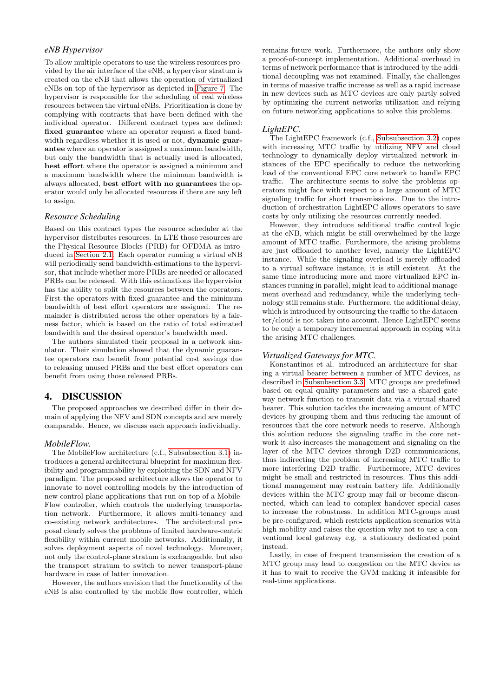## *eNB Hypervisor*

To allow multiple operators to use the wireless resources provided by the air interface of the eNB, a hypervisor stratum is created on the eNB that allows the operation of virtualized eNBs on top of the hypervisor as depicted in [Figure 7.](#page-7-1) The hypervisor is responsible for the scheduling of real wireless resources between the virtual eNBs. Prioritization is done by complying with contracts that have been defined with the individual operator. Different contract types are defined: fixed guarantee where an operator request a fixed bandwidth regardless whether it is used or not, dynamic guarantee where an operator is assigned a maximum bandwidth, but only the bandwidth that is actually used is allocated, best effort where the operator is assigned a minimum and a maximum bandwidth where the minimum bandwidth is always allocated, best effort with no guarantees the operator would only be allocated resources if there are any left to assign.

#### *Resource Scheduling*

Based on this contract types the resource scheduler at the hypervisor distributes resources. In LTE those resources are the Physical Resource Blocks (PRB) for OFDMA as introduced in [Section 2.1.](#page-2-2) Each operator running a virtual eNB will periodically send bandwidth-estimations to the hypervisor, that include whether more PRBs are needed or allocated PRBs can be released. With this estimations the hypervisior has the ability to split the resources between the operators. First the operators with fixed guarantee and the minimum bandwidth of best effort operators are assigned. The remainder is distributed across the other operators by a fairness factor, which is based on the ratio of total estimated bandwidth and the desired operator's bandwidth need.

The authors simulated their proposal in a network simulator. Their simulation showed that the dynamic guarantee operators can benefit from potential cost savings due to releasing unused PRBs and the best effort operators can benefit from using those released PRBs.

## <span id="page-8-0"></span>4. DISCUSSION

The proposed approaches we described differ in their domain of applying the NFV and SDN concepts and are merely comparable. Hence, we discuss each approach individually.

#### *MobileFlow.*

The MobileFlow architecture (c.f., [Subsubsection 3.1\)](#page-3-2) introduces a general architectural blueprint for maximum flexibility and programmability by exploiting the SDN and NFV paradigm. The proposed architecture allows the operator to innovate to novel controlling models by the introduction of new control plane applications that run on top of a Mobile-Flow controller, which controls the underlying transportation network. Furthermore, it allows multi-tenancy and co-existing network architectures. The architectural proposal clearly solves the problems of limited hardware-centric flexibility within current mobile networks. Additionally, it solves deployment aspects of novel technology. Moreover, not only the control-plane stratum is exchangeable, but also the transport stratum to switch to newer transport-plane hardware in case of latter innovation.

However, the authors envision that the functionality of the eNB is also controlled by the mobile flow controller, which

remains future work. Furthermore, the authors only show a proof-of-concept implementation. Additional overhead in terms of network performance that is introduced by the additional decoupling was not examined. Finally, the challenges in terms of massive traffic increase as well as a rapid increase in new devices such as MTC devices are only partly solved by optimizing the current networks utilization and relying on future networking applications to solve this problems.

#### *LightEPC.*

The LightEPC framework (c.f., [Subsubsection 3.2\)](#page-5-1) copes with increasing MTC traffic by utilizing NFV and cloud technology to dynamically deploy virtualized network instances of the EPC specifically to reduce the networking load of the conventional EPC core network to handle EPC traffic. The architecture seems to solve the problems operators might face with respect to a large amount of MTC signaling traffic for short transmissions. Due to the introduction of orchestration LightEPC allows operators to save costs by only utilizing the resources currently needed.

However, they introduce additional traffic control logic at the eNB, which might be still overwhelmed by the large amount of MTC traffic. Furthermore, the arising problems are just offloaded to another level, namely the LightEPC instance. While the signaling overload is merely offloaded to a virtual software instance, it is still existent. At the same time introducing more and more virtualized EPC instances running in parallel, might lead to additional management overhead and redundancy, while the underlying technology still remains stale. Furthermore, the additional delay, which is introduced by outsourcing the traffic to the datacenter/cloud is not taken into account. Hence LightEPC seems to be only a temporary incremental approach in coping with the arising MTC challenges.

#### *Virtualized Gateways for MTC.*

Konstantinos et al. introduced an architecture for sharing a virtual bearer between a number of MTC devices, as described in [Subsubsection 3.3.](#page-6-0) MTC groups are predefined based on equal quality parameters and use a shared gateway network function to transmit data via a virtual shared bearer. This solution tackles the increasing amount of MTC devices by grouping them and thus reducing the amount of resources that the core network needs to reserve. Although this solution reduces the signaling traffic in the core network it also increases the management and signaling on the layer of the MTC devices through D2D communications, thus indirecting the problem of increasing MTC traffic to more interfering D2D traffic. Furthermore, MTC devices might be small and restricted in resources. Thus this additional management may restrain battery life. Additionally devices within the MTC group may fail or become disconnected, which can lead to complex handover special cases to increase the robustness. In addition MTC-groups must be pre-configured, which restricts application scenarios with high mobility and raises the question why not to use a conventional local gateway e.g. a stationary dedicated point instead.

Lastly, in case of frequent transmission the creation of a MTC group may lead to congestion on the MTC device as it has to wait to receive the GVM making it infeasible for real-time applications.